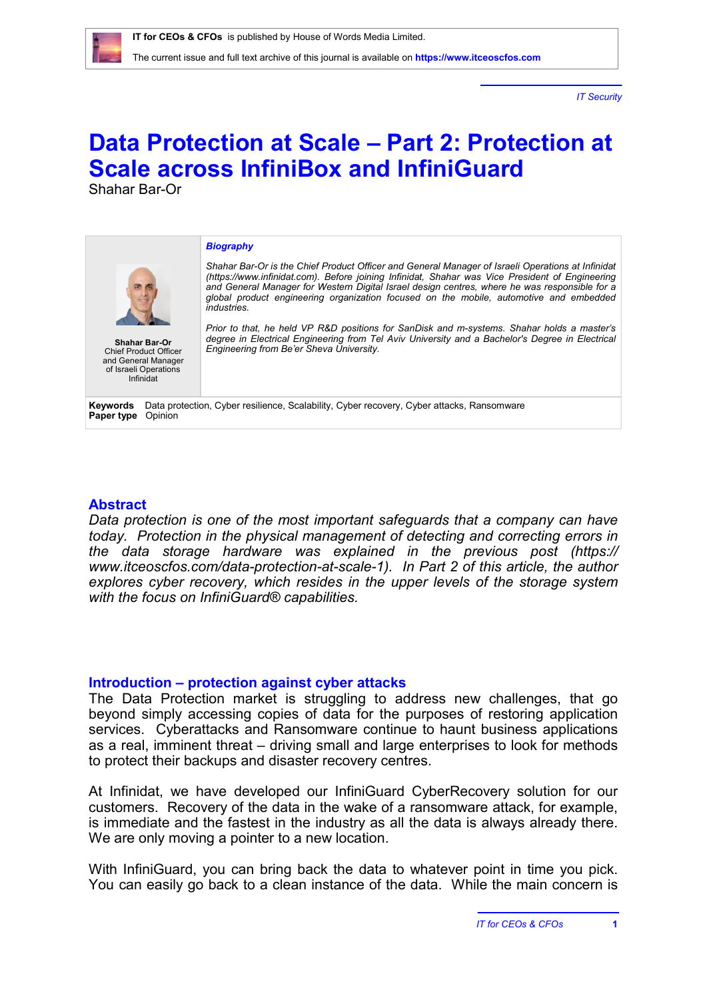*IT Security*

# **Data Protection at Scale – Part 2: Protection at Scale across InfiniBox and InfiniGuard**

Shahar Bar-Or

#### *Biography*



Chief Product Officer and General Manager of Israeli Operations Infinidat

*Shahar Bar-Or is the Chief Product Officer and General Manager of Israeli Operations at Infinidat [\(https://www.infinidat.com\)](https://www.infinidat.com). Before joining Infinidat, Shahar was Vice President of Engineering and General Manager for Western Digital Israel design centres, where he was responsible for a global product engineering organization focused on the mobile, automotive and embedded industries.* 

*Prior to that, he held VP R&D positions for SanDisk and m-systems. Shahar holds a master's degree in Electrical Engineering from Tel Aviv University and a Bachelor's Degree in Electrical Engineering from Be'er Sheva University.* **Shahar Bar-Or**

**Keywords** Data protection, Cyber resilience, Scalability, Cyber recovery, Cyber attacks, Ransomware **Paper type** Opinion

## **Abstract**

*Data protection is one of the most important safeguards that a company can have today. Protection in the physical management of detecting and correcting errors in the data storage hardware was explained in the previous post [\(https://](https://) [www.itceoscfos.com/data-protection-at-scale-1](http://www.itceoscfos.com/data-protection-at-scale-1)). In Part 2 of this article, the author explores cyber recovery, which resides in the upper levels of the storage system with the focus on InfiniGuard® capabilities.*

## **Introduction – protection against cyber attacks**

The Data Protection market is struggling to address new challenges, that go beyond simply accessing copies of data for the purposes of restoring application services. Cyberattacks and Ransomware continue to haunt business applications as a real, imminent threat – driving small and large enterprises to look for methods to protect their backups and disaster recovery centres.

At Infinidat, we have developed our InfiniGuard CyberRecovery solution for our customers. Recovery of the data in the wake of a ransomware attack, for example, is immediate and the fastest in the industry as all the data is always already there. We are only moving a pointer to a new location.

With InfiniGuard, you can bring back the data to whatever point in time you pick. You can easily go back to a clean instance of the data. While the main concern is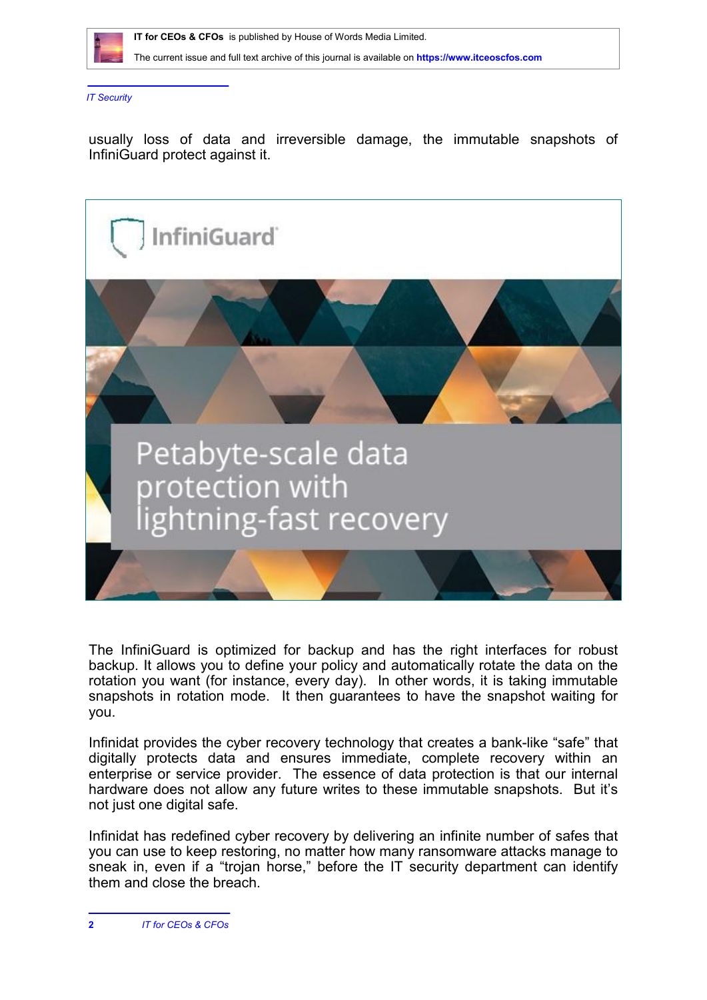

The current issue and full text archive of this journal is available on **<https://www.itceoscfos.com>** 

*IT Security*

usually loss of data and irreversible damage, the immutable snapshots of InfiniGuard protect against it.



The InfiniGuard is optimized for backup and has the right interfaces for robust backup. It allows you to define your policy and automatically rotate the data on the rotation you want (for instance, every day). In other words, it is taking immutable snapshots in rotation mode. It then guarantees to have the snapshot waiting for you.

Infinidat provides the cyber recovery technology that creates a bank-like "safe" that digitally protects data and ensures immediate, complete recovery within an enterprise or service provider. The essence of data protection is that our internal hardware does not allow any future writes to these immutable snapshots. But it's not just one digital safe.

Infinidat has redefined cyber recovery by delivering an infinite number of safes that you can use to keep restoring, no matter how many ransomware attacks manage to sneak in, even if a "trojan horse," before the IT security department can identify them and close the breach.